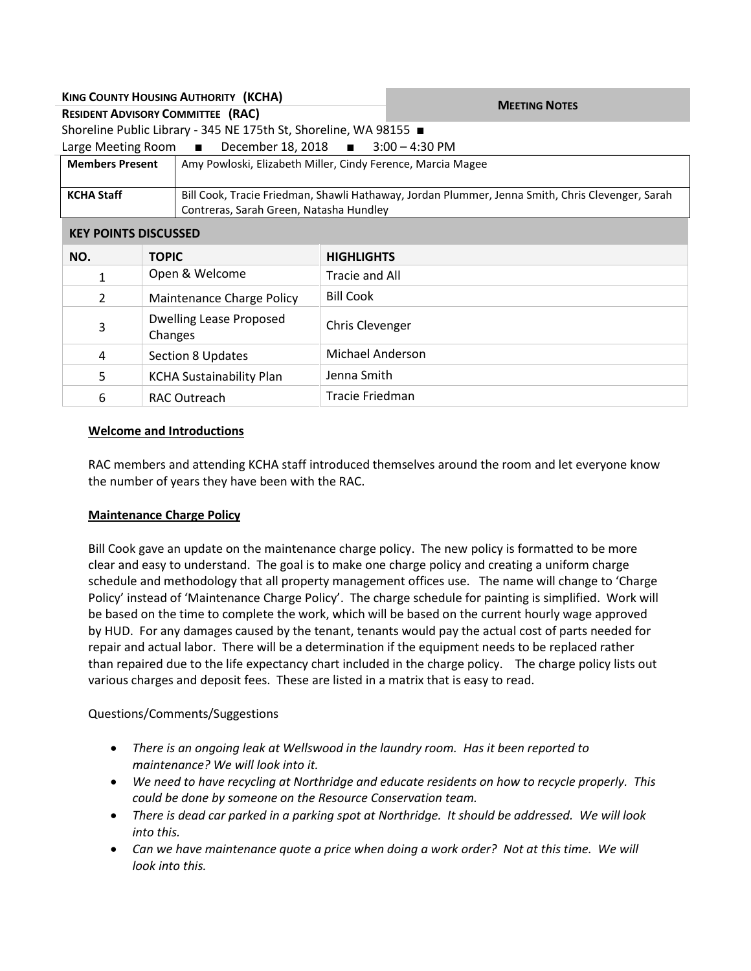| <b>MEETING NOTES</b>                                                                             |  |  |
|--------------------------------------------------------------------------------------------------|--|--|
|                                                                                                  |  |  |
|                                                                                                  |  |  |
| Large Meeting Room ■ December 18, 2018 ■ 3:00 - 4:30 PM                                          |  |  |
| Amy Powloski, Elizabeth Miller, Cindy Ference, Marcia Magee                                      |  |  |
|                                                                                                  |  |  |
| Bill Cook, Tracie Friedman, Shawli Hathaway, Jordan Plummer, Jenna Smith, Chris Clevenger, Sarah |  |  |
| Contreras, Sarah Green, Natasha Hundley                                                          |  |  |
|                                                                                                  |  |  |
|                                                                                                  |  |  |
|                                                                                                  |  |  |
|                                                                                                  |  |  |
|                                                                                                  |  |  |
|                                                                                                  |  |  |

# 4 Section 8 Updates Michael Anderson 5 | KCHA Sustainability Plan | Jenna Smith 6 RAC Outreach Tracie Friedman

## **Welcome and Introductions**

RAC members and attending KCHA staff introduced themselves around the room and let everyone know the number of years they have been with the RAC.

## **Maintenance Charge Policy**

Bill Cook gave an update on the maintenance charge policy. The new policy is formatted to be more clear and easy to understand. The goal is to make one charge policy and creating a uniform charge schedule and methodology that all property management offices use. The name will change to 'Charge Policy' instead of 'Maintenance Charge Policy'. The charge schedule for painting is simplified. Work will be based on the time to complete the work, which will be based on the current hourly wage approved by HUD. For any damages caused by the tenant, tenants would pay the actual cost of parts needed for repair and actual labor. There will be a determination if the equipment needs to be replaced rather than repaired due to the life expectancy chart included in the charge policy. The charge policy lists out various charges and deposit fees. These are listed in a matrix that is easy to read.

## Questions/Comments/Suggestions

- *There is an ongoing leak at Wellswood in the laundry room. Has it been reported to maintenance? We will look into it.*
- *We need to have recycling at Northridge and educate residents on how to recycle properly. This could be done by someone on the Resource Conservation team.*
- *There is dead car parked in a parking spot at Northridge. It should be addressed. We will look into this.*
- *Can we have maintenance quote a price when doing a work order? Not at this time. We will look into this.*